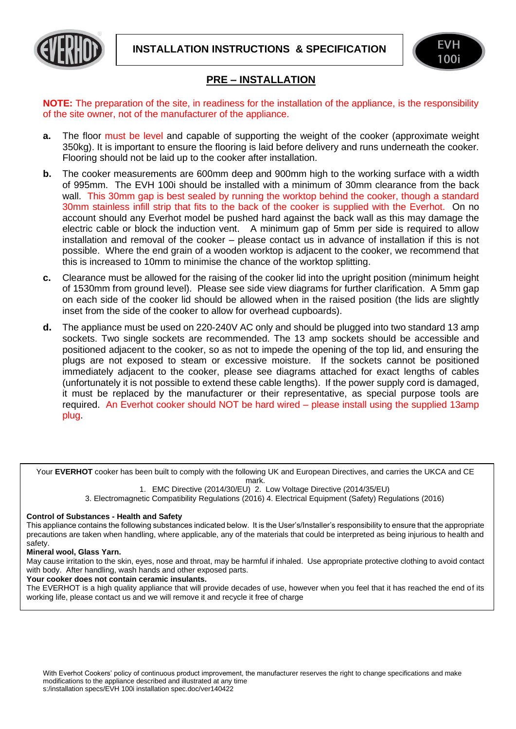**INSTALLATION INSTRUCTIONS & SPECIFICATION**





## **PRE – INSTALLATION**

**NOTE:** The preparation of the site, in readiness for the installation of the appliance, is the responsibility of the site owner, not of the manufacturer of the appliance.

- **a.** The floor must be level and capable of supporting the weight of the cooker (approximate weight 350kg). It is important to ensure the flooring is laid before delivery and runs underneath the cooker. Flooring should not be laid up to the cooker after installation.
- **b.** The cooker measurements are 600mm deep and 900mm high to the working surface with a width of 995mm. The EVH 100i should be installed with a minimum of 30mm clearance from the back wall. This 30mm gap is best sealed by running the worktop behind the cooker, though a standard 30mm stainless infill strip that fits to the back of the cooker is supplied with the Everhot. On no account should any Everhot model be pushed hard against the back wall as this may damage the electric cable or block the induction vent. A minimum gap of 5mm per side is required to allow installation and removal of the cooker – please contact us in advance of installation if this is not possible. Where the end grain of a wooden worktop is adjacent to the cooker, we recommend that this is increased to 10mm to minimise the chance of the worktop splitting.
- **c.** Clearance must be allowed for the raising of the cooker lid into the upright position (minimum height of 1530mm from ground level). Please see side view diagrams for further clarification. A 5mm gap on each side of the cooker lid should be allowed when in the raised position (the lids are slightly inset from the side of the cooker to allow for overhead cupboards).
- **d.** The appliance must be used on 220-240V AC only and should be plugged into two standard 13 amp sockets. Two single sockets are recommended. The 13 amp sockets should be accessible and positioned adjacent to the cooker, so as not to impede the opening of the top lid, and ensuring the plugs are not exposed to steam or excessive moisture. If the sockets cannot be positioned immediately adjacent to the cooker, please see diagrams attached for exact lengths of cables (unfortunately it is not possible to extend these cable lengths). If the power supply cord is damaged, it must be replaced by the manufacturer or their representative, as special purpose tools are required. An Everhot cooker should NOT be hard wired – please install using the supplied 13amp plug.

Your **EVERHOT** cooker has been built to comply with the following UK and European Directives, and carries the UKCA and CE mark.

1. EMC Directive (2014/30/EU) 2. Low Voltage Directive (2014/35/EU)

3. Electromagnetic Compatibility Regulations (2016) 4. Electrical Equipment (Safety) Regulations (2016)

## **Control of Substances - Health and Safety**

This appliance contains the following substances indicated below. It is the User's/Installer's responsibility to ensure that the appropriate precautions are taken when handling, where applicable, any of the materials that could be interpreted as being injurious to health and safety.

## **Mineral wool, Glass Yarn.**

May cause irritation to the skin, eyes, nose and throat, may be harmful if inhaled. Use appropriate protective clothing to avoid contact with body. After handling, wash hands and other exposed parts.

## **Your cooker does not contain ceramic insulants.**

The EVERHOT is a high quality appliance that will provide decades of use, however when you feel that it has reached the end of its working life, please contact us and we will remove it and recycle it free of charge